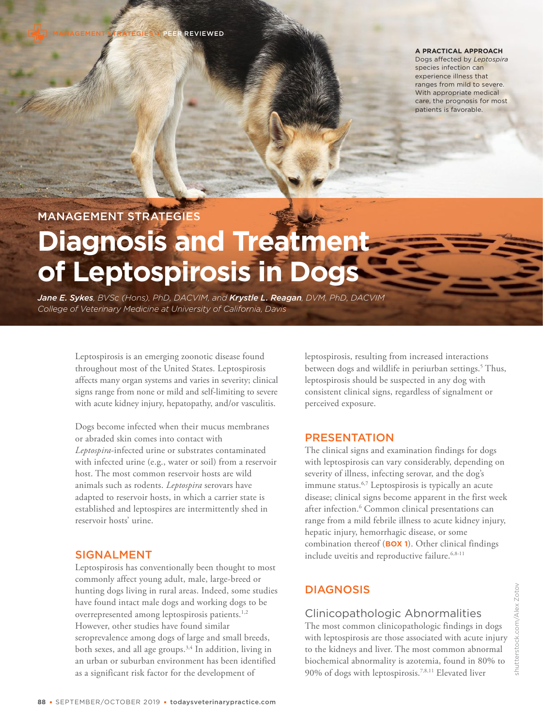**A PRACTICAL APPROACH**

Dogs affected by *Leptospira* species infection can experience illness that ranges from mild to severe. With appropriate medical care, the prognosis for most patients is favorable.

MANAGEMENT STRATEGIES

# **Diagnosis and Treatment of Leptospirosis in Dogs**

*Jane E. Sykes, BVSc (Hons), PhD, DACVIM, and Krystle L. Reagan, DVM, PhD, DACVIM College of Veterinary Medicine at University of California, Davis*

> Leptospirosis is an emerging zoonotic disease found throughout most of the United States. Leptospirosis affects many organ systems and varies in severity; clinical signs range from none or mild and self-limiting to severe with acute kidney injury, hepatopathy, and/or vasculitis.

Dogs become infected when their mucus membranes or abraded skin comes into contact with *Leptospira*-infected urine or substrates contaminated with infected urine (e.g., water or soil) from a reservoir host. The most common reservoir hosts are wild animals such as rodents. *Leptospira* serovars have adapted to reservoir hosts, in which a carrier state is established and leptospires are intermittently shed in reservoir hosts' urine.

# SIGNALMENT

Leptospirosis has conventionally been thought to most commonly affect young adult, male, large-breed or hunting dogs living in rural areas. Indeed, some studies have found intact male dogs and working dogs to be overrepresented among leptospirosis patients.<sup>1,2</sup> However, other studies have found similar seroprevalence among dogs of large and small breeds, both sexes, and all age groups.3,4 In addition, living in an urban or suburban environment has been identified as a significant risk factor for the development of

leptospirosis, resulting from increased interactions between dogs and wildlife in periurban settings.<sup>5</sup> Thus, leptospirosis should be suspected in any dog with consistent clinical signs, regardless of signalment or perceived exposure.

# PRESENTATION

The clinical signs and examination findings for dogs with leptospirosis can vary considerably, depending on severity of illness, infecting serovar, and the dog's immune status.<sup>6,7</sup> Leptospirosis is typically an acute disease; clinical signs become apparent in the first week after infection.<sup>6</sup> Common clinical presentations can range from a mild febrile illness to acute kidney injury, hepatic injury, hemorrhagic disease, or some combination thereof (**BOX 1**). Other clinical findings include uveitis and reproductive failure.<sup>6,8-11</sup>

# **DIAGNOSIS**

# Clinicopathologic Abnormalities

The most common clinicopathologic findings in dogs with leptospirosis are those associated with acute injury to the kidneys and liver. The most common abnormal biochemical abnormality is azotemia, found in 80% to  $90\%$  of dogs with leptospirosis. $^{7,8,11}$  Elevated liver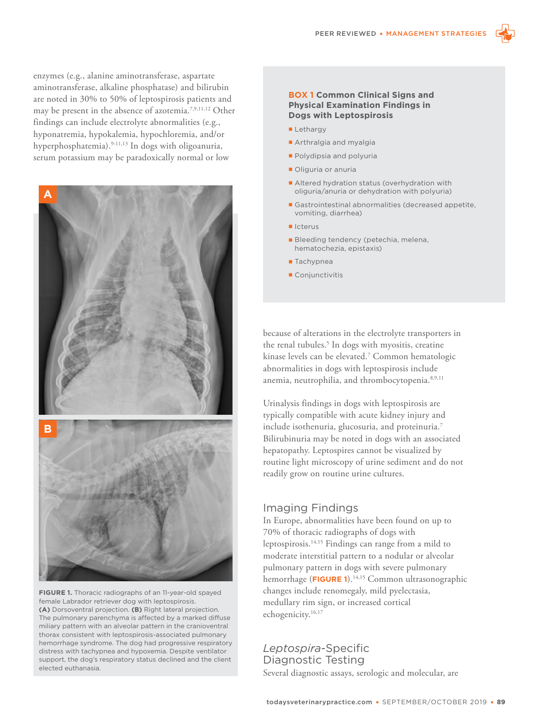

enzymes (e.g., alanine aminotransferase, aspartate aminotransferase, alkaline phosphatase) and bilirubin are noted in 30% to 50% of leptospirosis patients and may be present in the absence of azotemia.7,9,11,12 Other findings can include electrolyte abnormalities (e.g., hyponatremia, hypokalemia, hypochloremia, and/or hyperphosphatemia).<sup>9-11,13</sup> In dogs with oligoanuria, serum potassium may be paradoxically normal or low



**FIGURE 1.** Thoracic radiographs of an 11-year-old spayed female Labrador retriever dog with leptospirosis. **(A)** Dorsoventral projection. **(B)** Right lateral projection. The pulmonary parenchyma is affected by a marked diffuse miliary pattern with an alveolar pattern in the cranioventral thorax consistent with leptospirosis-associated pulmonary hemorrhage syndrome. The dog had progressive respiratory distress with tachypnea and hypoxemia. Despite ventilator support, the dog's respiratory status declined and the client elected euthanasia.

#### **BOX 1 Common Clinical Signs and Physical Examination Findings in Dogs with Leptospirosis**

- Lethargy
- Arthralgia and myalgia
- **Polydipsia and polyuria**
- Oliguria or anuria
- Altered hydration status (overhydration with oliguria/anuria or dehydration with polyuria)
- Gastrointestinal abnormalities (decreased appetite, vomiting, diarrhea)
- Icterus
- Bleeding tendency (petechia, melena, hematochezia, epistaxis)
- Tachypnea
- Conjunctivitis

because of alterations in the electrolyte transporters in the renal tubules.<sup>5</sup> In dogs with myositis, creatine kinase levels can be elevated.<sup>7</sup> Common hematologic abnormalities in dogs with leptospirosis include anemia, neutrophilia, and thrombocytopenia. 8,9,11

Urinalysis findings in dogs with leptospirosis are typically compatible with acute kidney injury and include isothenuria, glucosuria, and proteinuria.<sup>7</sup> Bilirubinuria may be noted in dogs with an associated hepatopathy. Leptospires cannot be visualized by routine light microscopy of urine sediment and do not readily grow on routine urine cultures.

## Imaging Findings

In Europe, abnormalities have been found on up to 70% of thoracic radiographs of dogs with leptospirosis.14,15 Findings can range from a mild to moderate interstitial pattern to a nodular or alveolar pulmonary pattern in dogs with severe pulmonary hemorrhage (**FIGURE 1**).14,15 Common ultrasonographic changes include renomegaly, mild pyelectasia, medullary rim sign, or increased cortical echogenicity.<sup>16,17</sup>

# *Leptospira*-Specific Diagnostic Testing

Several diagnostic assays, serologic and molecular, are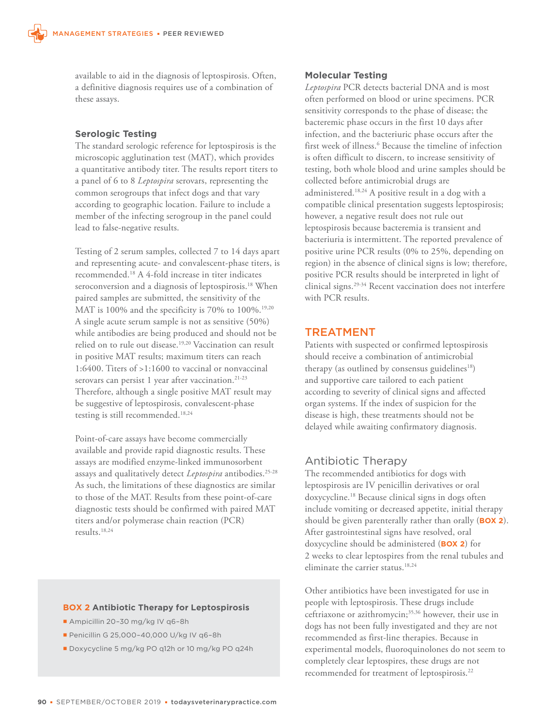available to aid in the diagnosis of leptospirosis. Often, a definitive diagnosis requires use of a combination of these assays.

## **Serologic Testing**

The standard serologic reference for leptospirosis is the microscopic agglutination test (MAT), which provides a quantitative antibody titer. The results report titers to a panel of 6 to 8 *Leptospira* serovars, representing the common serogroups that infect dogs and that vary according to geographic location. Failure to include a member of the infecting serogroup in the panel could lead to false-negative results.

Testing of 2 serum samples, collected 7 to 14 days apart and representing acute- and convalescent-phase titers, is recommended.<sup>18</sup> A 4-fold increase in titer indicates seroconversion and a diagnosis of leptospirosis.<sup>18</sup> When paired samples are submitted, the sensitivity of the MAT is 100% and the specificity is 70% to 100%.<sup>19,20</sup> A single acute serum sample is not as sensitive (50%) while antibodies are being produced and should not be relied on to rule out disease.<sup>19,20</sup> Vaccination can result in positive MAT results; maximum titers can reach 1:6400. Titers of >1:1600 to vaccinal or nonvaccinal serovars can persist 1 year after vaccination.<sup>21-23</sup> Therefore, although a single positive MAT result may be suggestive of leptospirosis, convalescent-phase testing is still recommended.18,24

Point-of-care assays have become commercially available and provide rapid diagnostic results. These assays are modified enzyme-linked immunosorbent assays and qualitatively detect *Leptospira* antibodies.<sup>25-28</sup> As such, the limitations of these diagnostics are similar to those of the MAT. Results from these point-of-care diagnostic tests should be confirmed with paired MAT titers and/or polymerase chain reaction (PCR) results.18,24

## **BOX 2 Antibiotic Therapy for Leptospirosis**

- Ampicillin 20–30 mg/kg IV q6–8h
- Penicillin G 25,000–40,000 U/kg IV q6–8h
- Doxycycline 5 mg/kg PO q12h or 10 mg/kg PO q24h

#### **Molecular Testing**

*Leptospira* PCR detects bacterial DNA and is most often performed on blood or urine specimens. PCR sensitivity corresponds to the phase of disease; the bacteremic phase occurs in the first 10 days after infection, and the bacteriuric phase occurs after the first week of illness.<sup>6</sup> Because the timeline of infection is often difficult to discern, to increase sensitivity of testing, both whole blood and urine samples should be collected before antimicrobial drugs are administered.18,24 A positive result in a dog with a compatible clinical presentation suggests leptospirosis; however, a negative result does not rule out leptospirosis because bacteremia is transient and bacteriuria is intermittent. The reported prevalence of positive urine PCR results (0% to 25%, depending on region) in the absence of clinical signs is low; therefore, positive PCR results should be interpreted in light of clinical signs.29-34 Recent vaccination does not interfere with PCR results.

## TREATMENT

Patients with suspected or confirmed leptospirosis should receive a combination of antimicrobial therapy (as outlined by consensus guidelines $18$ ) and supportive care tailored to each patient according to severity of clinical signs and affected organ systems. If the index of suspicion for the disease is high, these treatments should not be delayed while awaiting confirmatory diagnosis.

## Antibiotic Therapy

The recommended antibiotics for dogs with leptospirosis are IV penicillin derivatives or oral doxycycline.<sup>18</sup> Because clinical signs in dogs often include vomiting or decreased appetite, initial therapy should be given parenterally rather than orally (**BOX 2**). After gastrointestinal signs have resolved, oral doxycycline should be administered (**BOX 2**) for 2 weeks to clear leptospires from the renal tubules and eliminate the carrier status.<sup>18,24</sup>

Other antibiotics have been investigated for use in people with leptospirosis. These drugs include ceftriaxone or azithromycin;<sup>35,36</sup> however, their use in dogs has not been fully investigated and they are not recommended as first-line therapies. Because in experimental models, fluoroquinolones do not seem to completely clear leptospires, these drugs are not recommended for treatment of leptospirosis.<sup>22</sup>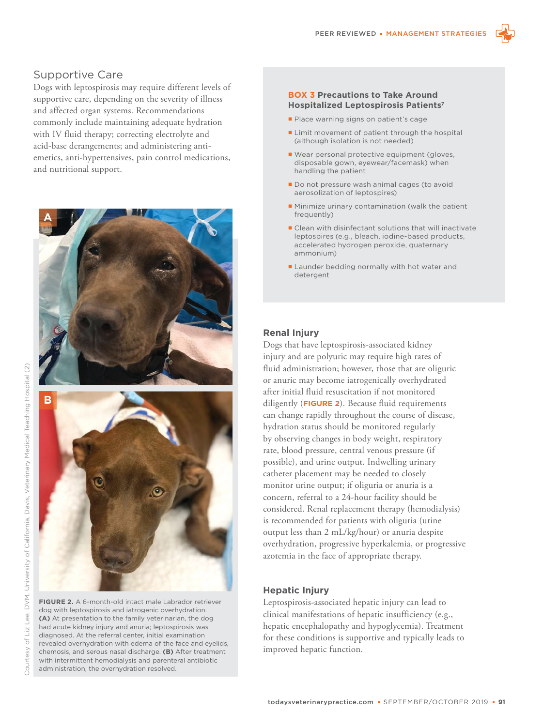

Dogs with leptospirosis may require different levels of supportive care, depending on the severity of illness and affected organ systems. Recommendations commonly include maintaining adequate hydration with IV fluid therapy; correcting electrolyte and acid-base derangements; and administering antiemetics, anti-hypertensives, pain control medications, and nutritional support.





**FIGURE 2.** A 6-month-old intact male Labrador retriever dog with leptospirosis and iatrogenic overhydration. **(A)** At presentation to the family veterinarian, the dog had acute kidney injury and anuria; leptospirosis was diagnosed. At the referral center, initial examination revealed overhydration with edema of the face and eyelids, chemosis, and serous nasal discharge. **(B)** After treatment with intermittent hemodialysis and parenteral antibiotic administration, the overhydration resolved.

#### **BOX 3 Precautions to Take Around Hospitalized Leptospirosis Patients<sup>7</sup>**

- **Place warning signs on patient's cage**
- **Limit movement of patient through the hospital** (although isolation is not needed)
- Wear personal protective equipment (gloves, disposable gown, eyewear/facemask) when handling the patient
- Do not pressure wash animal cages (to avoid aerosolization of leptospires)
- Minimize urinary contamination (walk the patient frequently)
- **Clean with disinfectant solutions that will inactivate** leptospires (e.g., bleach, iodine-based products, accelerated hydrogen peroxide, quaternary ammonium)
- Launder bedding normally with hot water and detergent

## **Renal Injury**

Dogs that have leptospirosis-associated kidney injury and are polyuric may require high rates of fluid administration; however, those that are oliguric or anuric may become iatrogenically overhydrated after initial fluid resuscitation if not monitored diligently (**FIGURE 2**). Because fluid requirements can change rapidly throughout the course of disease, hydration status should be monitored regularly by observing changes in body weight, respiratory rate, blood pressure, central venous pressure (if possible), and urine output. Indwelling urinary catheter placement may be needed to closely monitor urine output; if oliguria or anuria is a concern, referral to a 24-hour facility should be considered. Renal replacement therapy (hemodialysis) is recommended for patients with oliguria (urine output less than 2 mL/kg/hour) or anuria despite overhydration, progressive hyperkalemia, or progressive azotemia in the face of appropriate therapy.

## **Hepatic Injury**

Leptospirosis-associated hepatic injury can lead to clinical manifestations of hepatic insufficiency (e.g., hepatic encephalopathy and hypoglycemia). Treatment for these conditions is supportive and typically leads to improved hepatic function.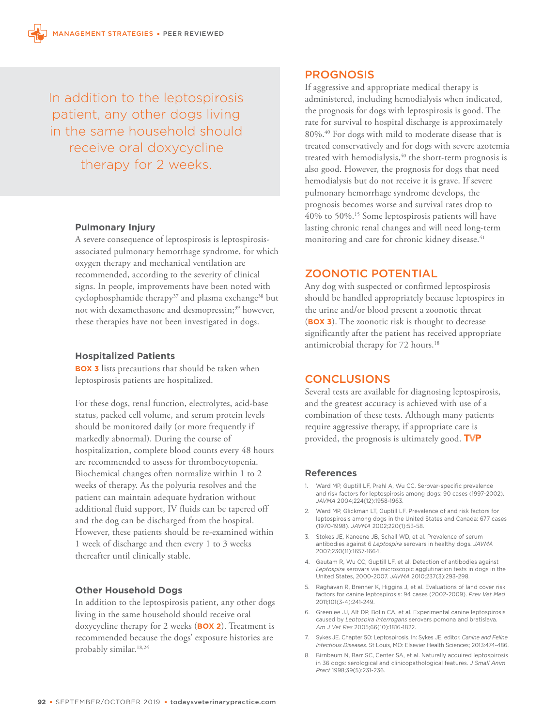In addition to the leptospirosis patient, any other dogs living in the same household should receive oral doxycycline therapy for 2 weeks.

#### **Pulmonary Injury**

A severe consequence of leptospirosis is leptospirosisassociated pulmonary hemorrhage syndrome, for which oxygen therapy and mechanical ventilation are recommended, according to the severity of clinical signs. In people, improvements have been noted with cyclophosphamide therapy<sup>37</sup> and plasma exchange<sup>38</sup> but not with dexamethasone and desmopressin;<sup>39</sup> however, these therapies have not been investigated in dogs.

#### **Hospitalized Patients**

**BOX 3** lists precautions that should be taken when leptospirosis patients are hospitalized.

For these dogs, renal function, electrolytes, acid-base status, packed cell volume, and serum protein levels should be monitored daily (or more frequently if markedly abnormal). During the course of hospitalization, complete blood counts every 48 hours are recommended to assess for thrombocytopenia. Biochemical changes often normalize within 1 to 2 weeks of therapy. As the polyuria resolves and the patient can maintain adequate hydration without additional fluid support, IV fluids can be tapered off and the dog can be discharged from the hospital. However, these patients should be re-examined within 1 week of discharge and then every 1 to 3 weeks thereafter until clinically stable.

## **Other Household Dogs**

In addition to the leptospirosis patient, any other dogs living in the same household should receive oral doxycycline therapy for 2 weeks (**BOX 2**). Treatment is recommended because the dogs' exposure histories are probably similar.18,24

## PROGNOSIS

If aggressive and appropriate medical therapy is administered, including hemodialysis when indicated, the prognosis for dogs with leptospirosis is good. The rate for survival to hospital discharge is approximately 80%.<sup>40</sup> For dogs with mild to moderate disease that is treated conservatively and for dogs with severe azotemia treated with hemodialysis,<sup>40</sup> the short-term prognosis is also good. However, the prognosis for dogs that need hemodialysis but do not receive it is grave. If severe pulmonary hemorrhage syndrome develops, the prognosis becomes worse and survival rates drop to 40% to 50%.<sup>15</sup> Some leptospirosis patients will have lasting chronic renal changes and will need long-term monitoring and care for chronic kidney disease.<sup>41</sup>

# ZOONOTIC POTENTIAL

Any dog with suspected or confirmed leptospirosis should be handled appropriately because leptospires in the urine and/or blood present a zoonotic threat (**BOX 3**). The zoonotic risk is thought to decrease significantly after the patient has received appropriate antimicrobial therapy for 72 hours.<sup>18</sup>

## **CONCLUSIONS**

Several tests are available for diagnosing leptospirosis, and the greatest accuracy is achieved with use of a combination of these tests. Although many patients require aggressive therapy, if appropriate care is provided, the prognosis is ultimately good. TVP

#### **References**

- 1. Ward MP, Guptill LF, Prahl A, Wu CC. Serovar-specific prevalence and risk factors for leptospirosis among dogs: 90 cases (1997-2002). *JAVMA* 2004;224(12):1958-1963.
- 2. Ward MP, Glickman LT, Guptill LF. Prevalence of and risk factors for leptospirosis among dogs in the United States and Canada: 677 cases (1970-1998). *JAVMA* 2002;220(1):53-58.
- 3. Stokes JE, Kaneene JB, Schall WD, et al. Prevalence of serum antibodies against 6 *Leptospira* serovars in healthy dogs. *JAVMA* 2007;230(11):1657-1664.
- 4. Gautam R, Wu CC, Guptill LF, et al. Detection of antibodies against *Leptospira* serovars via microscopic agglutination tests in dogs in the United States, 2000-2007. *JAVMA* 2010;237(3):293-298.
- 5. Raghavan R, Brenner K, Higgins J, et al. Evaluations of land cover risk factors for canine leptospirosis: 94 cases (2002-2009). *Prev Vet Med* 2011;101(3-4):241-249.
- 6. Greenlee JJ, Alt DP, Bolin CA, et al. Experimental canine leptospirosis caused by *Leptospira interrogans* serovars pomona and bratislava. *Am J Vet Res* 2005;66(10):1816-1822.
- 7. Sykes JE. Chapter 50: Leptospirosis. In: Sykes JE, editor. *Canine and Feline Infectious Diseases*. St Louis, MO: Elsevier Health Sciences; 2013:474-486.
- 8. Birnbaum N, Barr SC, Center SA, et al. Naturally acquired leptospirosis in 36 dogs: serological and clinicopathological features. *J Small Anim Pract* 1998;39(5):231-236.